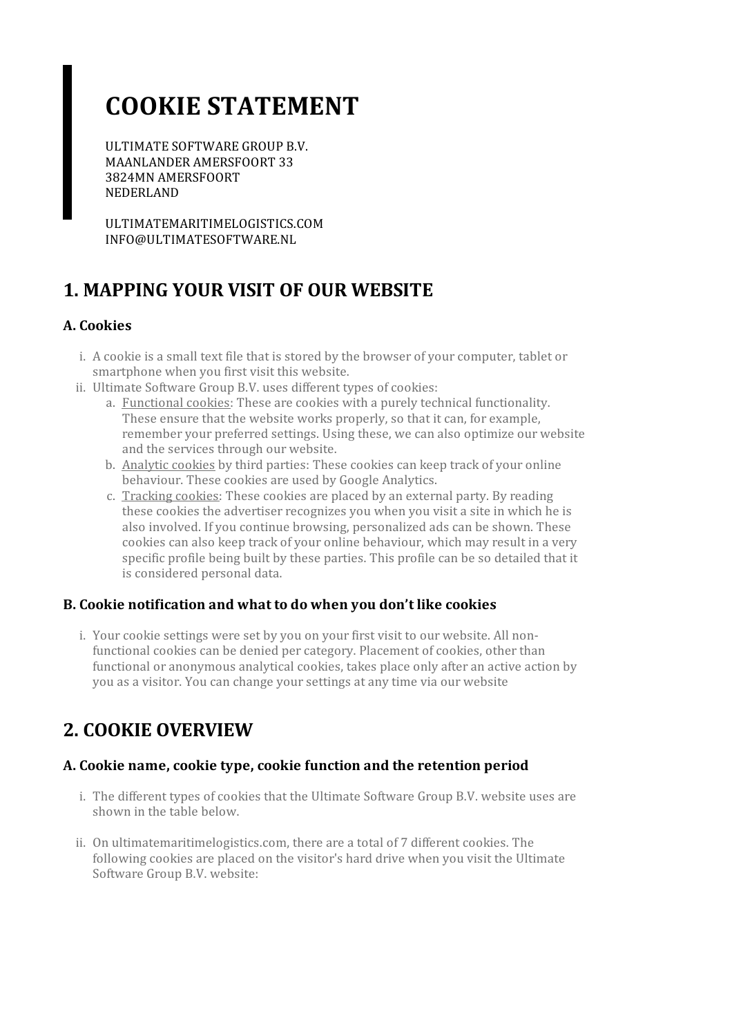# **COOKIE STATEMENT**

ULTIMATE SOFTWARE GROUP B.V. MAANLANDER AMERSFOORT 33 3824MN AMERSFOORT NEDERLAND

ULTIMATEMARITIMELOGISTICS.COM INFO@ULTIMATESOFTWARE.NL

# **1. MAPPING YOUR VISIT OF OUR WEBSITE**

#### **A. Cookies**

- i. A cookie is a small text file that is stored by the browser of your computer, tablet or smartphone when you first visit this website.
- ii. Ultimate Software Group B.V. uses different types of cookies:
	- a. Functional cookies: These are cookies with a purely technical functionality. These ensure that the website works properly, so that it can, for example, remember your preferred settings. Using these, we can also optimize our website and the services through our website.
	- b. Analytic cookies by third parties: These cookies can keep track of your online behaviour. These cookies are used by Google Analytics.
	- c. Tracking cookies: These cookies are placed by an external party. By reading these cookies the advertiser recognizes you when you visit a site in which he is also involved. If you continue browsing, personalized ads can be shown. These cookies can also keep track of your online behaviour, which may result in a very specific profile being built by these parties. This profile can be so detailed that it is considered personal data.

#### **B. Cookie notification and what to do when you don't like cookies**

i. Your cookie settings were set by you on your first visit to our website. All nonfunctional cookies can be denied per category. Placement of cookies, other than functional or anonymous analytical cookies, takes place only after an active action by you as a visitor. You can change yoursettings at any time via our website

# **2. COOKIE OVERVIEW**

#### **A. Cookie name,cookie type,cookie function and the retention period**

- i. The different types of cookies that the Ultimate Software Group B.V. website uses are shown in the table below.
- ii. On ultimatemaritimelogistics.com, there are a total of 7 different cookies. The following cookies are placed on the visitor's hard drive when you visit the Ultimate Software Group B.V. website: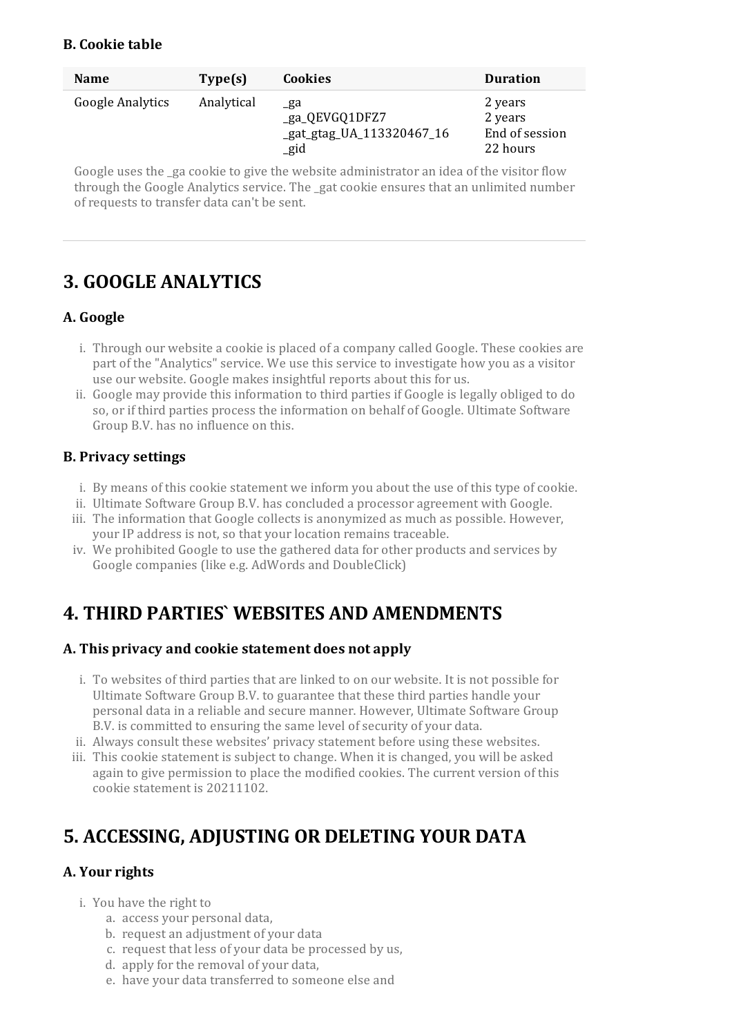#### **B. Cookie table**

| <b>Name</b>             | Type(s)    | <b>Cookies</b>                                                        | <b>Duration</b>                                  |
|-------------------------|------------|-----------------------------------------------------------------------|--------------------------------------------------|
| <b>Google Analytics</b> | Analytical | _ga<br>_ga_QEVGQ1DFZ7<br>_gat_gtag_UA_113320467_16<br>$_{\text{gid}}$ | 2 years<br>2 years<br>End of session<br>22 hours |

Google uses the ga cookie to give the website administrator an idea of the visitor flow through the Google Analytics service. The \_gat cookie ensures that an unlimited number ofrequests to transfer data can't be sent.

### **3. GOOGLE ANALYTICS**

#### **A. Google**

- i. Through our website a cookie is placed of a company called Google. These cookies are part of the "Analytics" service. We use this service to investigate how you as a visitor use our website. Google makes insightful reports about this for us.
- ii. Google may provide this information to third parties if Google is legally obliged to do so, orif third parties process the information on behalf of Google. Ultimate Software Group B.V. has no influence on this.

#### **B. Privacy settings**

- i. By means of this cookie statement we inform you about the use of this type of cookie.
- ii. Ultimate Software Group B.V. has concluded a processor agreement with Google.
- iii. The information that Google collects is anonymized as much as possible. However, your IP address is not, so that your location remains traceable.
- iv. We prohibited Google to use the gathered data for other products and services by Google companies (like e.g. AdWords and DoubleClick)

### **4. THIRD PARTIES` WEBSITES AND AMENDMENTS**

#### **A. This privacy and cookie statement does not apply**

- i. To websites of third parties that are linked to on our website. It is not possible for Ultimate Software Group B.V. to guarantee that these third parties handle your personal data in a reliable and secure manner. However, Ultimate Software Group B.V. is committed to ensuring the same level of security of your data.
- ii. Always consult these websites' privacy statement before using these websites.
- iii. This cookie statement is subject to change. When it is changed, you will be asked again to give permission to place the modified cookies. The current version of this cookie statement is 20211102.

# **5. ACCESSING, ADJUSTING OR DELETING YOUR DATA**

#### **A.** Your rights

- i. You have the right to
	- a. access your personal data,
	- b. request an adjustment of your data
	- c. request that less of your data be processed by us,
	- d. apply for the removal of your data,
	- e. have your data transferred to someone else and